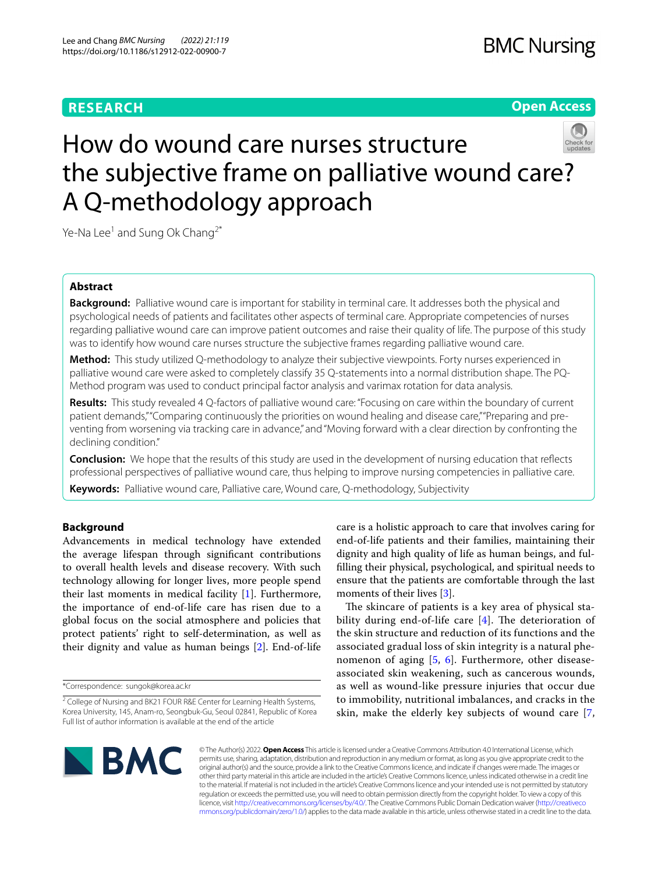## **RESEARCH**

**Open Access**

# How do wound care nurses structure the subjective frame on palliative wound care? A Q-methodology approach



Ye-Na Lee<sup>1</sup> and Sung Ok Chang<sup>2\*</sup>

## **Abstract**

**Background:** Palliative wound care is important for stability in terminal care. It addresses both the physical and psychological needs of patients and facilitates other aspects of terminal care. Appropriate competencies of nurses regarding palliative wound care can improve patient outcomes and raise their quality of life. The purpose of this study was to identify how wound care nurses structure the subjective frames regarding palliative wound care.

**Method:** This study utilized Q-methodology to analyze their subjective viewpoints. Forty nurses experienced in palliative wound care were asked to completely classify 35 Q-statements into a normal distribution shape. The PQ-Method program was used to conduct principal factor analysis and varimax rotation for data analysis.

**Results:** This study revealed 4 Q-factors of palliative wound care: "Focusing on care within the boundary of current patient demands," "Comparing continuously the priorities on wound healing and disease care," "Preparing and preventing from worsening via tracking care in advance," and "Moving forward with a clear direction by confronting the declining condition."

**Conclusion:** We hope that the results of this study are used in the development of nursing education that refects professional perspectives of palliative wound care, thus helping to improve nursing competencies in palliative care.

**Keywords:** Palliative wound care, Palliative care, Wound care, Q-methodology, Subjectivity

## **Background**

Advancements in medical technology have extended the average lifespan through signifcant contributions to overall health levels and disease recovery. With such technology allowing for longer lives, more people spend their last moments in medical facility [[1\]](#page-7-0). Furthermore, the importance of end-of-life care has risen due to a global focus on the social atmosphere and policies that protect patients' right to self-determination, as well as their dignity and value as human beings [[2](#page-7-1)]. End-of-life

\*Correspondence: sungok@korea.ac.kr

care is a holistic approach to care that involves caring for end-of-life patients and their families, maintaining their dignity and high quality of life as human beings, and fulflling their physical, psychological, and spiritual needs to ensure that the patients are comfortable through the last moments of their lives [\[3](#page-8-0)].

The skincare of patients is a key area of physical stability during end-of-life care  $[4]$  $[4]$ . The deterioration of the skin structure and reduction of its functions and the associated gradual loss of skin integrity is a natural phenomenon of aging  $[5, 6]$  $[5, 6]$  $[5, 6]$  $[5, 6]$  $[5, 6]$ . Furthermore, other diseaseassociated skin weakening, such as cancerous wounds, as well as wound-like pressure injuries that occur due to immobility, nutritional imbalances, and cracks in the skin, make the elderly key subjects of wound care [\[7](#page-8-4),



© The Author(s) 2022. **Open Access** This article is licensed under a Creative Commons Attribution 4.0 International License, which permits use, sharing, adaptation, distribution and reproduction in any medium or format, as long as you give appropriate credit to the original author(s) and the source, provide a link to the Creative Commons licence, and indicate if changes were made. The images or other third party material in this article are included in the article's Creative Commons licence, unless indicated otherwise in a credit line to the material. If material is not included in the article's Creative Commons licence and your intended use is not permitted by statutory regulation or exceeds the permitted use, you will need to obtain permission directly from the copyright holder. To view a copy of this licence, visit [http://creativecommons.org/licenses/by/4.0/.](http://creativecommons.org/licenses/by/4.0/) The Creative Commons Public Domain Dedication waiver ([http://creativeco](http://creativecommons.org/publicdomain/zero/1.0/) [mmons.org/publicdomain/zero/1.0/](http://creativecommons.org/publicdomain/zero/1.0/)) applies to the data made available in this article, unless otherwise stated in a credit line to the data.

<sup>&</sup>lt;sup>2</sup> College of Nursing and BK21 FOUR R&E Center for Learning Health Systems, Korea University, 145, Anam‑ro, Seongbuk‑Gu, Seoul 02841, Republic of Korea Full list of author information is available at the end of the article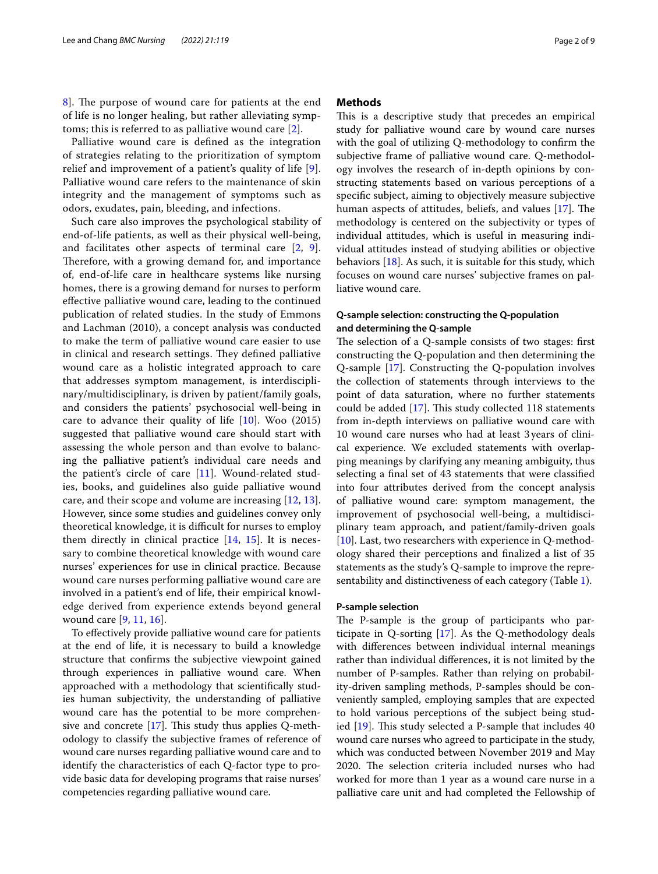8. The purpose of wound care for patients at the end of life is no longer healing, but rather alleviating symptoms; this is referred to as palliative wound care [[2\]](#page-7-1).

Palliative wound care is defned as the integration of strategies relating to the prioritization of symptom relief and improvement of a patient's quality of life [[9\]](#page-8-6). Palliative wound care refers to the maintenance of skin integrity and the management of symptoms such as odors, exudates, pain, bleeding, and infections.

Such care also improves the psychological stability of end-of-life patients, as well as their physical well-being, and facilitates other aspects of terminal care [\[2](#page-7-1), [9](#page-8-6)]. Therefore, with a growing demand for, and importance of, end-of-life care in healthcare systems like nursing homes, there is a growing demand for nurses to perform efective palliative wound care, leading to the continued publication of related studies. In the study of Emmons and Lachman (2010), a concept analysis was conducted to make the term of palliative wound care easier to use in clinical and research settings. They defined palliative wound care as a holistic integrated approach to care that addresses symptom management, is interdisciplinary/multidisciplinary, is driven by patient/family goals, and considers the patients' psychosocial well-being in care to advance their quality of life  $[10]$  $[10]$ . Woo  $(2015)$ suggested that palliative wound care should start with assessing the whole person and than evolve to balancing the palliative patient's individual care needs and the patient's circle of care [\[11](#page-8-8)]. Wound-related studies, books, and guidelines also guide palliative wound care, and their scope and volume are increasing [\[12](#page-8-9), [13](#page-8-10)]. However, since some studies and guidelines convey only theoretical knowledge, it is difficult for nurses to employ them directly in clinical practice [[14,](#page-8-11) [15](#page-8-12)]. It is necessary to combine theoretical knowledge with wound care nurses' experiences for use in clinical practice. Because wound care nurses performing palliative wound care are involved in a patient's end of life, their empirical knowledge derived from experience extends beyond general wound care [[9,](#page-8-6) [11,](#page-8-8) [16](#page-8-13)].

To efectively provide palliative wound care for patients at the end of life, it is necessary to build a knowledge structure that confrms the subjective viewpoint gained through experiences in palliative wound care. When approached with a methodology that scientifcally studies human subjectivity, the understanding of palliative wound care has the potential to be more comprehensive and concrete  $[17]$  $[17]$ . This study thus applies Q-methodology to classify the subjective frames of reference of wound care nurses regarding palliative wound care and to identify the characteristics of each Q-factor type to provide basic data for developing programs that raise nurses' competencies regarding palliative wound care.

#### **Methods**

This is a descriptive study that precedes an empirical study for palliative wound care by wound care nurses with the goal of utilizing Q-methodology to confrm the subjective frame of palliative wound care. Q-methodology involves the research of in-depth opinions by constructing statements based on various perceptions of a specifc subject, aiming to objectively measure subjective human aspects of attitudes, beliefs, and values [[17\]](#page-8-14). The methodology is centered on the subjectivity or types of individual attitudes, which is useful in measuring individual attitudes instead of studying abilities or objective behaviors [[18\]](#page-8-15). As such, it is suitable for this study, which focuses on wound care nurses' subjective frames on palliative wound care.

## **Q‑sample selection: constructing the Q‑population and determining the Q‑sample**

The selection of a Q-sample consists of two stages: first constructing the Q-population and then determining the Q-sample [[17\]](#page-8-14). Constructing the Q-population involves the collection of statements through interviews to the point of data saturation, where no further statements could be added  $[17]$  $[17]$ . This study collected 118 statements from in-depth interviews on palliative wound care with 10 wound care nurses who had at least 3years of clinical experience. We excluded statements with overlapping meanings by clarifying any meaning ambiguity, thus selecting a fnal set of 43 statements that were classifed into four attributes derived from the concept analysis of palliative wound care: symptom management, the improvement of psychosocial well-being, a multidisciplinary team approach, and patient/family-driven goals [[10\]](#page-8-7). Last, two researchers with experience in Q-methodology shared their perceptions and fnalized a list of 35 statements as the study's Q-sample to improve the representability and distinctiveness of each category (Table [1\)](#page-2-0).

#### **P‑sample selection**

The P-sample is the group of participants who participate in Q-sorting [\[17\]](#page-8-14). As the Q-methodology deals with diferences between individual internal meanings rather than individual diferences, it is not limited by the number of P-samples. Rather than relying on probability-driven sampling methods, P-samples should be conveniently sampled, employing samples that are expected to hold various perceptions of the subject being studied  $[19]$  $[19]$  $[19]$ . This study selected a P-sample that includes  $40$ wound care nurses who agreed to participate in the study, which was conducted between November 2019 and May 2020. The selection criteria included nurses who had worked for more than 1 year as a wound care nurse in a palliative care unit and had completed the Fellowship of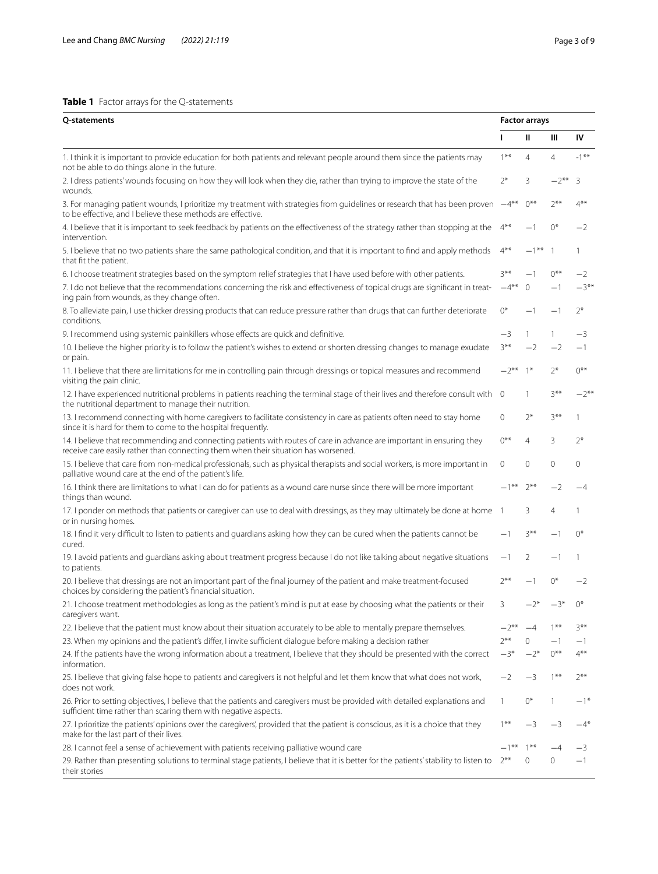## <span id="page-2-0"></span>**Table 1** Factor arrays for the Q-statements

| Q-statements                                                                                                                                                                                                |         |                | <b>Factor arrays</b> |              |  |  |
|-------------------------------------------------------------------------------------------------------------------------------------------------------------------------------------------------------------|---------|----------------|----------------------|--------------|--|--|
|                                                                                                                                                                                                             | п       | Ш              | Ш                    | IV           |  |  |
| 1. I think it is important to provide education for both patients and relevant people around them since the patients may<br>not be able to do things alone in the future.                                   |         | $\overline{4}$ | $\overline{4}$       | $-1$ **      |  |  |
| 2. I dress patients' wounds focusing on how they will look when they die, rather than trying to improve the state of the<br>wounds.                                                                         | $2*$    | 3              | $-2$ **              | 3            |  |  |
| 3. For managing patient wounds, I prioritize my treatment with strategies from guidelines or research that has been proven<br>to be effective, and I believe these methods are effective.                   |         |                |                      | $4***$       |  |  |
| 4. I believe that it is important to seek feedback by patients on the effectiveness of the strategy rather than stopping at the<br>intervention.                                                            |         |                | $0^*$                | $-2$         |  |  |
| 5. I believe that no two patients share the same pathological condition, and that it is important to find and apply methods<br>that fit the patient.                                                        |         | $-1***$        | $\overline{1}$       | $\mathbf{1}$ |  |  |
| 6. I choose treatment strategies based on the symptom relief strategies that I have used before with other patients.                                                                                        |         | $-1$           | $0***$               | $-2$         |  |  |
| 7. I do not believe that the recommendations concerning the risk and effectiveness of topical drugs are significant in treat-<br>ing pain from wounds, as they change often.                                | $-4***$ | $\mathbf{0}$   |                      | $-3***$      |  |  |
| 8. To alleviate pain, I use thicker dressing products that can reduce pressure rather than drugs that can further deteriorate<br>conditions.                                                                | $0^*$   | -1             | — 1                  | $2*$         |  |  |
| 9. I recommend using systemic painkillers whose effects are quick and definitive.                                                                                                                           | $-3$    | 1              |                      | —3           |  |  |
| 10. I believe the higher priority is to follow the patient's wishes to extend or shorten dressing changes to manage exudate<br>or pain.                                                                     | $3***$  | $-2$           | $-2$                 | $-1$         |  |  |
| 11. I believe that there are limitations for me in controlling pain through dressings or topical measures and recommend<br>visiting the pain clinic.                                                        |         | $1*$           | $2*$                 | $0***$       |  |  |
| 12. I have experienced nutritional problems in patients reaching the terminal stage of their lives and therefore consult with<br>the nutritional department to manage their nutrition.                      |         | 1              | $3***$               | $-2***$      |  |  |
| 13. I recommend connecting with home caregivers to facilitate consistency in care as patients often need to stay home<br>since it is hard for them to come to the hospital frequently.                      |         | $2*$           | $3***$               | 1            |  |  |
| 14. I believe that recommending and connecting patients with routes of care in advance are important in ensuring they<br>receive care easily rather than connecting them when their situation has worsened. |         | $\overline{4}$ | 3                    | $2*$         |  |  |
| 15. I believe that care from non-medical professionals, such as physical therapists and social workers, is more important in<br>palliative wound care at the end of the patient's life.                     |         | 0              | $\mathbf 0$          | $\mathbf{0}$ |  |  |
| 16. I think there are limitations to what I can do for patients as a wound care nurse since there will be more important<br>things than wound.                                                              |         | $7***$         | $-2$                 | $-4$         |  |  |
| 17. I ponder on methods that patients or caregiver can use to deal with dressings, as they may ultimately be done at home<br>or in nursing homes.                                                           |         | 3              | 4                    | 1            |  |  |
| 18. I find it very difficult to listen to patients and guardians asking how they can be cured when the patients cannot be<br>cured.                                                                         |         | $3***$         |                      | $0^*$        |  |  |
| 19. I avoid patients and guardians asking about treatment progress because I do not like talking about negative situations<br>to patients.                                                                  | $-1$    | 2              | $-1$                 | -1           |  |  |
| 20. I believe that dressings are not an important part of the final journey of the patient and make treatment-focused<br>choices by considering the patient's financial situation.                          | $2***$  | $-1$           | $0^*$                | $-2$         |  |  |
| 21. I choose treatment methodologies as long as the patient's mind is put at ease by choosing what the patients or their<br>caregivers want.                                                                | 3       | $-2^{*}$       | $-3*$                | $()^*$       |  |  |
| 22. I believe that the patient must know about their situation accurately to be able to mentally prepare themselves.                                                                                        | $-2**$  | -4             | $1***$               | $3***$       |  |  |
| 23. When my opinions and the patient's differ, I invite sufficient dialogue before making a decision rather                                                                                                 | $7***$  | $\mathbf{0}$   | $-1$                 | $-1$         |  |  |
| 24. If the patients have the wrong information about a treatment, I believe that they should be presented with the correct<br>information.                                                                  | $-3*$   | $-2*$          | $0***$               | $4***$       |  |  |
| 25. I believe that giving false hope to patients and caregivers is not helpful and let them know that what does not work,<br>does not work.                                                                 | $-2$    | -3             | $1***$               | $2***$       |  |  |
| 26. Prior to setting objectives, I believe that the patients and caregivers must be provided with detailed explanations and<br>sufficient time rather than scaring them with negative aspects.              | 1       | $0^*$          | $\mathbf{1}$         | $-1*$        |  |  |
| 27. I prioritize the patients' opinions over the caregivers', provided that the patient is conscious, as it is a choice that they<br>make for the last part of their lives.                                 | $1***$  | $-3$           | $-3$                 | $-4*$        |  |  |
| 28. I cannot feel a sense of achievement with patients receiving palliative wound care                                                                                                                      | $-1***$ | $1***$         |                      | $-3$         |  |  |
| 29. Rather than presenting solutions to terminal stage patients, I believe that it is better for the patients' stability to listen to<br>their stories                                                      | $2***$  | 0              | 0                    | $-1$         |  |  |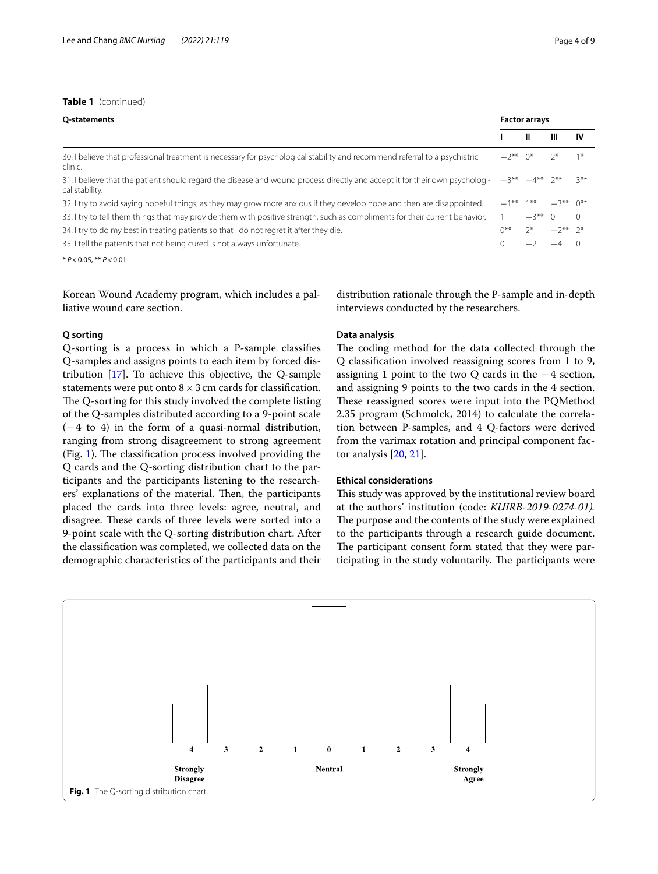## **Table 1** (continued)

| O-statements                                                                                                                                  |                       | <b>Factor arrays</b>   |             |          |  |
|-----------------------------------------------------------------------------------------------------------------------------------------------|-----------------------|------------------------|-------------|----------|--|
|                                                                                                                                               |                       | Ш                      | ш           | 1V       |  |
| 30. I believe that professional treatment is necessary for psychological stability and recommend referral to a psychiatric<br>clinic.         | $-2**$ 0 <sup>*</sup> |                        |             | $1*$     |  |
| 31. I believe that the patient should regard the disease and wound process directly and accept it for their own psychologi-<br>cal stability. |                       | $-3***$ $-4***$ $2***$ |             | $2**$    |  |
| 32. I try to avoid saying hopeful things, as they may grow more anxious if they develop hope and then are disappointed.                       | $-1***$ 1**           |                        | $-3***$ 0** |          |  |
| 33. I try to tell them things that may provide them with positive strength, such as compliments for their current behavior.                   |                       | $-3**$ 0               |             | $\Omega$ |  |
| 34. I try to do my best in treating patients so that I do not regret it after they die.                                                       | $0***$                | $2^*$                  | $-2**$ 2*   |          |  |
| 35. I tell the patients that not being cured is not always unfortunate.                                                                       |                       |                        |             |          |  |

\* *P*<0.05, \*\* *P*<0.01

Korean Wound Academy program, which includes a palliative wound care section.

#### **Q sorting**

Q-sorting is a process in which a P-sample classifes Q-samples and assigns points to each item by forced distribution [[17\]](#page-8-14). To achieve this objective, the Q-sample statements were put onto  $8 \times 3$  cm cards for classification. The Q-sorting for this study involved the complete listing of the Q-samples distributed according to a 9-point scale  $(-4 \text{ to } 4)$  in the form of a quasi-normal distribution, ranging from strong disagreement to strong agreement (Fig. [1](#page-3-0)). The classification process involved providing the Q cards and the Q-sorting distribution chart to the participants and the participants listening to the researchers' explanations of the material. Then, the participants placed the cards into three levels: agree, neutral, and disagree. These cards of three levels were sorted into a 9-point scale with the Q-sorting distribution chart. After the classifcation was completed, we collected data on the demographic characteristics of the participants and their distribution rationale through the P-sample and in-depth interviews conducted by the researchers.

## **Data analysis**

The coding method for the data collected through the Q classifcation involved reassigning scores from 1 to 9, assigning 1 point to the two Q cards in the −4 section, and assigning 9 points to the two cards in the 4 section. These reassigned scores were input into the PQMethod 2.35 program (Schmolck, 2014) to calculate the correlation between P-samples, and 4 Q-factors were derived from the varimax rotation and principal component factor analysis [\[20](#page-8-17), [21\]](#page-8-18).

## **Ethical considerations**

This study was approved by the institutional review board at the authors' institution (code: *KUIRB-2019-0274-01).* The purpose and the contents of the study were explained to the participants through a research guide document. The participant consent form stated that they were participating in the study voluntarily. The participants were

<span id="page-3-0"></span>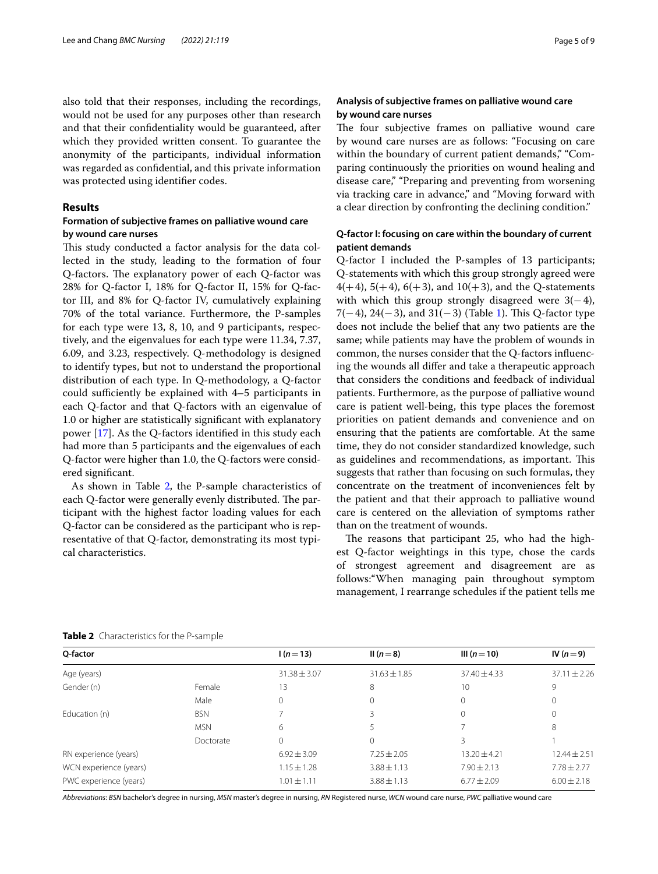also told that their responses, including the recordings, would not be used for any purposes other than research and that their confdentiality would be guaranteed, after which they provided written consent. To guarantee the anonymity of the participants, individual information was regarded as confdential, and this private information was protected using identifer codes.

#### **Results**

## **Formation of subjective frames on palliative wound care by wound care nurses**

This study conducted a factor analysis for the data collected in the study, leading to the formation of four Q-factors. The explanatory power of each Q-factor was 28% for Q-factor I, 18% for Q-factor II, 15% for Q-factor III, and 8% for Q-factor IV, cumulatively explaining 70% of the total variance. Furthermore, the P-samples for each type were 13, 8, 10, and 9 participants, respectively, and the eigenvalues for each type were 11.34, 7.37, 6.09, and 3.23, respectively. Q-methodology is designed to identify types, but not to understand the proportional distribution of each type. In Q-methodology, a Q-factor could sufficiently be explained with  $4-5$  participants in each Q-factor and that Q-factors with an eigenvalue of 1.0 or higher are statistically signifcant with explanatory power [\[17](#page-8-14)]. As the Q-factors identifed in this study each had more than 5 participants and the eigenvalues of each Q-factor were higher than 1.0, the Q-factors were considered signifcant.

As shown in Table [2,](#page-4-0) the P-sample characteristics of each Q-factor were generally evenly distributed. The participant with the highest factor loading values for each Q-factor can be considered as the participant who is representative of that Q-factor, demonstrating its most typical characteristics.

## **Analysis of subjective frames on palliative wound care by wound care nurses**

The four subjective frames on palliative wound care by wound care nurses are as follows: "Focusing on care within the boundary of current patient demands," "Comparing continuously the priorities on wound healing and disease care," "Preparing and preventing from worsening via tracking care in advance," and "Moving forward with a clear direction by confronting the declining condition."

## **Q‑factor I: focusing on care within the boundary of current patient demands**

Q-factor I included the P-samples of 13 participants; Q-statements with which this group strongly agreed were  $4(+4)$ , 5(+4), 6(+3), and 10(+3), and the Q-statements with which this group strongly disagreed were  $3(-4)$ , 7(−4), 24(−3), and 3[1](#page-2-0)(−3) (Table 1). This Q-factor type does not include the belief that any two patients are the same; while patients may have the problem of wounds in common, the nurses consider that the Q-factors infuencing the wounds all difer and take a therapeutic approach that considers the conditions and feedback of individual patients. Furthermore, as the purpose of palliative wound care is patient well-being, this type places the foremost priorities on patient demands and convenience and on ensuring that the patients are comfortable. At the same time, they do not consider standardized knowledge, such as guidelines and recommendations, as important. This suggests that rather than focusing on such formulas, they concentrate on the treatment of inconveniences felt by the patient and that their approach to palliative wound care is centered on the alleviation of symptoms rather than on the treatment of wounds.

The reasons that participant 25, who had the highest Q-factor weightings in this type, chose the cards of strongest agreement and disagreement are as follows:"When managing pain throughout symptom management, I rearrange schedules if the patient tells me

| Q-factor               |            | $1(n=13)$        | II ( $n=8$ )     | III ( $n=10$ )   | IV $(n=9)$       |
|------------------------|------------|------------------|------------------|------------------|------------------|
| Age (years)            |            | $31.38 \pm 3.07$ | $31.63 \pm 1.85$ | $37.40 \pm 4.33$ | $37.11 \pm 2.26$ |
| Gender (n)             | Female     | 13               | 8                | 10               | 9                |
|                        | Male       | $\Omega$         | $\Omega$         | 0                | 0                |
| Education (n)          | <b>BSN</b> |                  |                  | 0                | 0                |
|                        | <b>MSN</b> | 6                |                  |                  | 8                |
|                        | Doctorate  | $\mathbf 0$      | $\Omega$         | 3                |                  |
| RN experience (years)  |            | $6.92 \pm 3.09$  | $7.25 \pm 2.05$  | $13.20 \pm 4.21$ | $12.44 \pm 2.51$ |
| WCN experience (years) |            | $1.15 \pm 1.28$  | $3.88 \pm 1.13$  | $7.90 \pm 2.13$  | $7.78 \pm 2.77$  |
| PWC experience (years) |            | $1.01 \pm 1.11$  | $3.88 \pm 1.13$  | $6.77 \pm 2.09$  | $6.00 \pm 2.18$  |
|                        |            |                  |                  |                  |                  |

<span id="page-4-0"></span>**Table 2** Characteristics for the P-sample

*Abbreviations*: *BSN* bachelor's degree in nursing, *MSN* master's degree in nursing, *RN* Registered nurse, *WCN* wound care nurse, *PWC* palliative wound care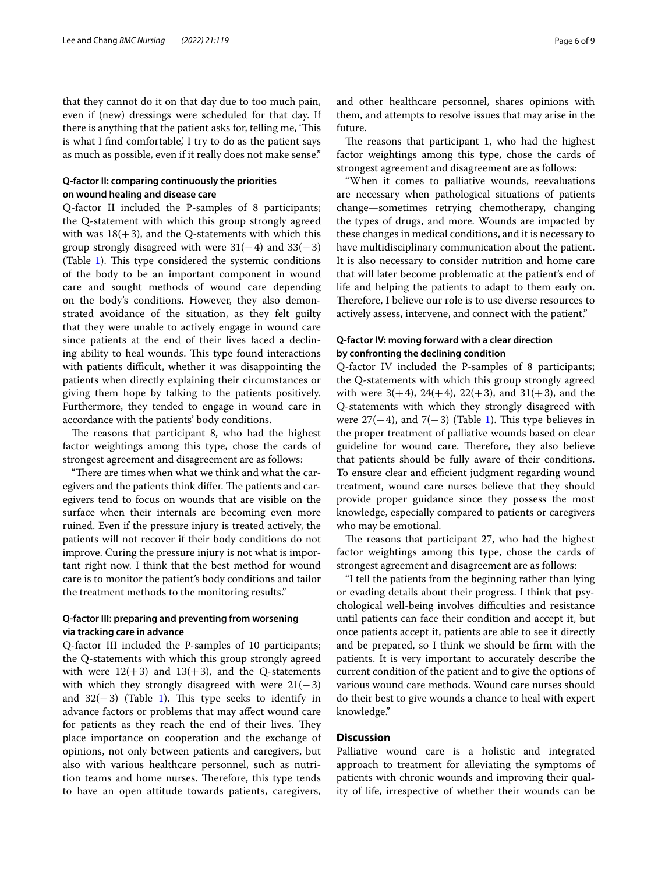that they cannot do it on that day due to too much pain, even if (new) dressings were scheduled for that day. If there is anything that the patient asks for, telling me, 'This is what I fnd comfortable,' I try to do as the patient says as much as possible, even if it really does not make sense."

## **Q‑factor II: comparing continuously the priorities on wound healing and disease care**

Q-factor II included the P-samples of 8 participants; the Q-statement with which this group strongly agreed with was  $18(+3)$ , and the Q-statements with which this group strongly disagreed with were  $31(-4)$  and  $33(-3)$ (Table  $\overline{1}$  $\overline{1}$  $\overline{1}$ ). This type considered the systemic conditions of the body to be an important component in wound care and sought methods of wound care depending on the body's conditions. However, they also demonstrated avoidance of the situation, as they felt guilty that they were unable to actively engage in wound care since patients at the end of their lives faced a declining ability to heal wounds. This type found interactions with patients difficult, whether it was disappointing the patients when directly explaining their circumstances or giving them hope by talking to the patients positively. Furthermore, they tended to engage in wound care in accordance with the patients' body conditions.

The reasons that participant 8, who had the highest factor weightings among this type, chose the cards of strongest agreement and disagreement are as follows:

"There are times when what we think and what the caregivers and the patients think differ. The patients and caregivers tend to focus on wounds that are visible on the surface when their internals are becoming even more ruined. Even if the pressure injury is treated actively, the patients will not recover if their body conditions do not improve. Curing the pressure injury is not what is important right now. I think that the best method for wound care is to monitor the patient's body conditions and tailor the treatment methods to the monitoring results."

## **Q‑factor III: preparing and preventing from worsening via tracking care in advance**

Q-factor III included the P-samples of 10 participants; the Q-statements with which this group strongly agreed with were  $12(+3)$  and  $13(+3)$ , and the Q-statements with which they strongly disagreed with were  $21(-3)$ and  $32(-3)$  (Table [1](#page-2-0)). This type seeks to identify in advance factors or problems that may afect wound care for patients as they reach the end of their lives. They place importance on cooperation and the exchange of opinions, not only between patients and caregivers, but also with various healthcare personnel, such as nutrition teams and home nurses. Therefore, this type tends to have an open attitude towards patients, caregivers, and other healthcare personnel, shares opinions with them, and attempts to resolve issues that may arise in the future.

The reasons that participant 1, who had the highest factor weightings among this type, chose the cards of strongest agreement and disagreement are as follows:

"When it comes to palliative wounds, reevaluations are necessary when pathological situations of patients change—sometimes retrying chemotherapy, changing the types of drugs, and more. Wounds are impacted by these changes in medical conditions, and it is necessary to have multidisciplinary communication about the patient. It is also necessary to consider nutrition and home care that will later become problematic at the patient's end of life and helping the patients to adapt to them early on. Therefore, I believe our role is to use diverse resources to actively assess, intervene, and connect with the patient."

## **Q‑factor IV: moving forward with a clear direction by confronting the declining condition**

Q-factor IV included the P-samples of 8 participants; the Q-statements with which this group strongly agreed with were  $3(+4)$ ,  $24(+4)$ ,  $22(+3)$ , and  $31(+3)$ , and the Q-statements with which they strongly disagreed with were  $27(-4)$ , and  $7(-3)$  (Table [1](#page-2-0)). This type believes in the proper treatment of palliative wounds based on clear guideline for wound care. Therefore, they also believe that patients should be fully aware of their conditions. To ensure clear and efficient judgment regarding wound treatment, wound care nurses believe that they should provide proper guidance since they possess the most knowledge, especially compared to patients or caregivers who may be emotional.

The reasons that participant 27, who had the highest factor weightings among this type, chose the cards of strongest agreement and disagreement are as follows:

"I tell the patients from the beginning rather than lying or evading details about their progress. I think that psychological well-being involves difficulties and resistance until patients can face their condition and accept it, but once patients accept it, patients are able to see it directly and be prepared, so I think we should be frm with the patients. It is very important to accurately describe the current condition of the patient and to give the options of various wound care methods. Wound care nurses should do their best to give wounds a chance to heal with expert knowledge."

## **Discussion**

Palliative wound care is a holistic and integrated approach to treatment for alleviating the symptoms of patients with chronic wounds and improving their quality of life, irrespective of whether their wounds can be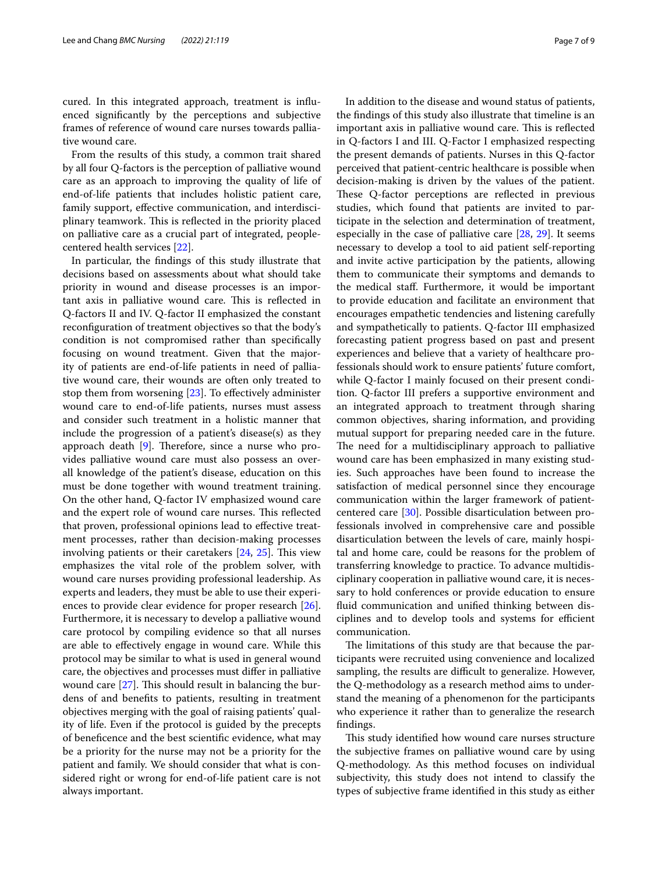cured. In this integrated approach, treatment is infuenced signifcantly by the perceptions and subjective frames of reference of wound care nurses towards palliative wound care.

From the results of this study, a common trait shared by all four Q-factors is the perception of palliative wound care as an approach to improving the quality of life of end-of-life patients that includes holistic patient care, family support, efective communication, and interdisciplinary teamwork. This is reflected in the priority placed on palliative care as a crucial part of integrated, peoplecentered health services [\[22\]](#page-8-19).

In particular, the fndings of this study illustrate that decisions based on assessments about what should take priority in wound and disease processes is an important axis in palliative wound care. This is reflected in Q-factors II and IV. Q-factor II emphasized the constant reconfguration of treatment objectives so that the body's condition is not compromised rather than specifcally focusing on wound treatment. Given that the majority of patients are end-of-life patients in need of palliative wound care, their wounds are often only treated to stop them from worsening [[23](#page-8-20)]. To efectively administer wound care to end-of-life patients, nurses must assess and consider such treatment in a holistic manner that include the progression of a patient's disease(s) as they approach death  $[9]$  $[9]$ . Therefore, since a nurse who provides palliative wound care must also possess an overall knowledge of the patient's disease, education on this must be done together with wound treatment training. On the other hand, Q-factor IV emphasized wound care and the expert role of wound care nurses. This reflected that proven, professional opinions lead to efective treatment processes, rather than decision-making processes involving patients or their caretakers  $[24, 25]$  $[24, 25]$  $[24, 25]$  $[24, 25]$  $[24, 25]$ . This view emphasizes the vital role of the problem solver, with wound care nurses providing professional leadership. As experts and leaders, they must be able to use their experiences to provide clear evidence for proper research [\[26](#page-8-23)]. Furthermore, it is necessary to develop a palliative wound care protocol by compiling evidence so that all nurses are able to efectively engage in wound care. While this protocol may be similar to what is used in general wound care, the objectives and processes must difer in palliative wound care  $[27]$  $[27]$ . This should result in balancing the burdens of and benefts to patients, resulting in treatment objectives merging with the goal of raising patients' quality of life. Even if the protocol is guided by the precepts of benefcence and the best scientifc evidence, what may be a priority for the nurse may not be a priority for the patient and family. We should consider that what is considered right or wrong for end-of-life patient care is not always important.

In addition to the disease and wound status of patients, the fndings of this study also illustrate that timeline is an important axis in palliative wound care. This is reflected in Q-factors I and III. Q-Factor I emphasized respecting the present demands of patients. Nurses in this Q-factor perceived that patient-centric healthcare is possible when decision-making is driven by the values of the patient. These Q-factor perceptions are reflected in previous studies, which found that patients are invited to participate in the selection and determination of treatment, especially in the case of palliative care [\[28](#page-8-25), [29\]](#page-8-26). It seems necessary to develop a tool to aid patient self-reporting and invite active participation by the patients, allowing them to communicate their symptoms and demands to the medical staf. Furthermore, it would be important to provide education and facilitate an environment that encourages empathetic tendencies and listening carefully and sympathetically to patients. Q-factor III emphasized forecasting patient progress based on past and present experiences and believe that a variety of healthcare professionals should work to ensure patients' future comfort, while Q-factor I mainly focused on their present condition. Q-factor III prefers a supportive environment and an integrated approach to treatment through sharing common objectives, sharing information, and providing mutual support for preparing needed care in the future. The need for a multidisciplinary approach to palliative wound care has been emphasized in many existing studies. Such approaches have been found to increase the satisfaction of medical personnel since they encourage communication within the larger framework of patientcentered care [[30](#page-8-27)]. Possible disarticulation between professionals involved in comprehensive care and possible disarticulation between the levels of care, mainly hospital and home care, could be reasons for the problem of transferring knowledge to practice. To advance multidisciplinary cooperation in palliative wound care, it is necessary to hold conferences or provide education to ensure fuid communication and unifed thinking between disciplines and to develop tools and systems for efficient communication.

The limitations of this study are that because the participants were recruited using convenience and localized sampling, the results are difficult to generalize. However, the Q-methodology as a research method aims to understand the meaning of a phenomenon for the participants who experience it rather than to generalize the research fndings.

This study identified how wound care nurses structure the subjective frames on palliative wound care by using Q-methodology. As this method focuses on individual subjectivity, this study does not intend to classify the types of subjective frame identifed in this study as either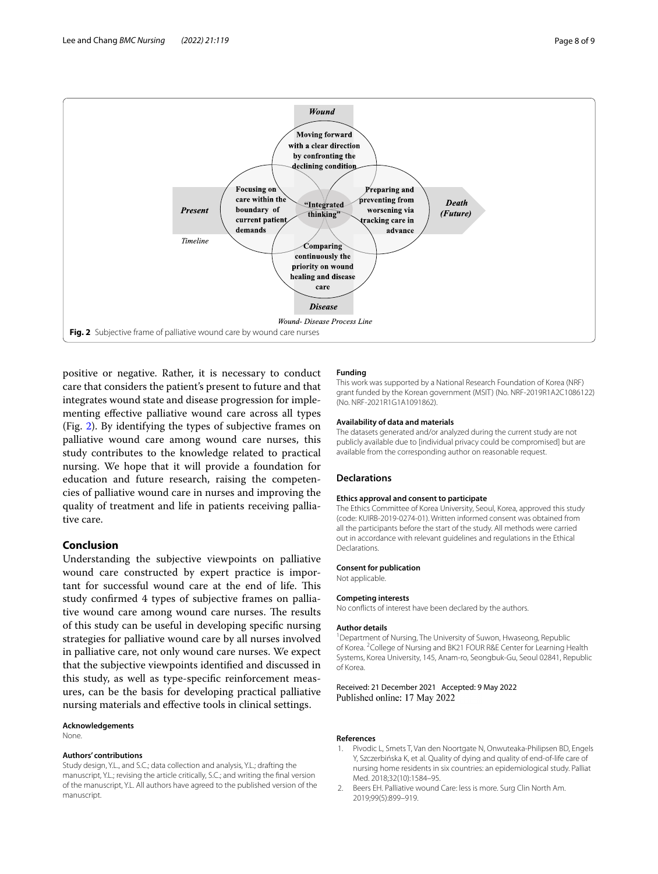

<span id="page-7-2"></span>positive or negative. Rather, it is necessary to conduct care that considers the patient's present to future and that integrates wound state and disease progression for implementing efective palliative wound care across all types (Fig. [2\)](#page-7-2). By identifying the types of subjective frames on palliative wound care among wound care nurses, this study contributes to the knowledge related to practical nursing. We hope that it will provide a foundation for education and future research, raising the competencies of palliative wound care in nurses and improving the quality of treatment and life in patients receiving palliative care.

## **Conclusion**

Understanding the subjective viewpoints on palliative wound care constructed by expert practice is important for successful wound care at the end of life. This study confrmed 4 types of subjective frames on palliative wound care among wound care nurses. The results of this study can be useful in developing specifc nursing strategies for palliative wound care by all nurses involved in palliative care, not only wound care nurses. We expect that the subjective viewpoints identifed and discussed in this study, as well as type-specifc reinforcement measures, can be the basis for developing practical palliative nursing materials and efective tools in clinical settings.

#### **Acknowledgements**

None.

#### **Authors' contributions**

Study design, Y.L., and S.C.; data collection and analysis, Y.L.; drafting the manuscript, Y.L.; revising the article critically, S.C.; and writing the fnal version of the manuscript, Y.L. All authors have agreed to the published version of the manuscript.

#### **Funding**

This work was supported by a National Research Foundation of Korea (NRF) grant funded by the Korean government (MSIT) (No. NRF-2019R1A2C1086122) (No. NRF-2021R1G1A1091862).

#### **Availability of data and materials**

The datasets generated and/or analyzed during the current study are not publicly available due to [individual privacy could be compromised] but are available from the corresponding author on reasonable request.

#### **Declarations**

#### **Ethics approval and consent to participate**

The Ethics Committee of Korea University, Seoul, Korea, approved this study (code: KUIRB-2019-0274-01). Written informed consent was obtained from all the participants before the start of the study. All methods were carried out in accordance with relevant guidelines and regulations in the Ethical **Declarations** 

#### **Consent for publication**

Not applicable.

#### **Competing interests**

No conficts of interest have been declared by the authors.

#### **Author details**

<sup>1</sup> Department of Nursing, The University of Suwon, Hwaseong, Republic of Korea. <sup>2</sup> College of Nursing and BK21 FOUR R&E Center for Learning Health Systems, Korea University, 145, Anam‑ro, Seongbuk‑Gu, Seoul 02841, Republic of Korea.

Received: 21 December 2021 Accepted: 9 May 2022 Published online: 17 May 2022

#### **References**

- <span id="page-7-0"></span>1. Pivodic L, Smets T, Van den Noortgate N, Onwuteaka-Philipsen BD, Engels Y, Szczerbińska K, et al. Quality of dying and quality of end-of-life care of nursing home residents in six countries: an epidemiological study. Palliat Med. 2018;32(10):1584–95.
- <span id="page-7-1"></span>2. Beers EH. Palliative wound Care: less is more. Surg Clin North Am. 2019;99(5):899–919.